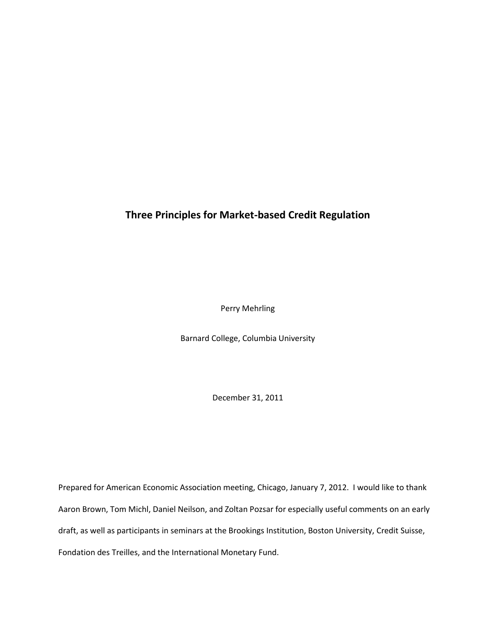# **Three Principles for Market-based Credit Regulation**

Perry Mehrling

Barnard College, Columbia University

December 31, 2011

Prepared for American Economic Association meeting, Chicago, January 7, 2012. I would like to thank Aaron Brown, Tom Michl, Daniel Neilson, and Zoltan Pozsar for especially useful comments on an early draft, as well as participants in seminars at the Brookings Institution, Boston University, Credit Suisse, Fondation des Treilles, and the International Monetary Fund.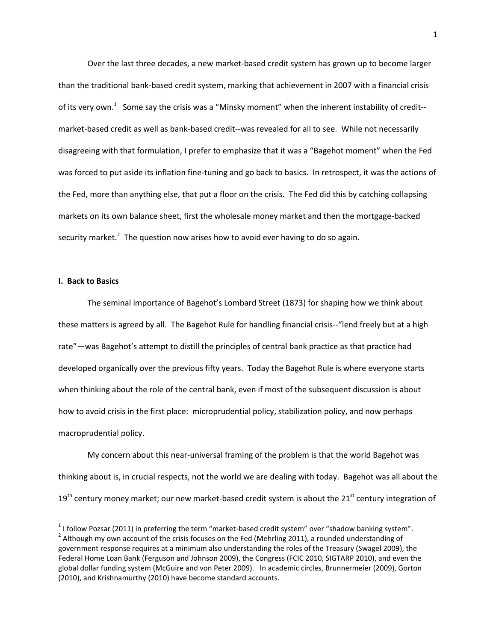Over the last three decades, a new market-based credit system has grown up to become larger than the traditional bank-based credit system, marking that achievement in 2007 with a financial crisis of its very own.<sup>1</sup> Some say the crisis was a "Minsky moment" when the inherent instability of credit-market-based credit as well as bank-based credit--was revealed for all to see. While not necessarily disagreeing with that formulation, I prefer to emphasize that it was a "Bagehot moment" when the Fed was forced to put aside its inflation fine-tuning and go back to basics. In retrospect, it was the actions of the Fed, more than anything else, that put a floor on the crisis. The Fed did this by catching collapsing markets on its own balance sheet, first the wholesale money market and then the mortgage-backed security market.<sup>2</sup> The question now arises how to avoid ever having to do so again.

### **I. Back to Basics**

 $\overline{a}$ 

The seminal importance of Bagehot's Lombard Street (1873) for shaping how we think about these matters is agreed by all. The Bagehot Rule for handling financial crisis--"lend freely but at a high rate"—was Bagehot's attempt to distill the principles of central bank practice as that practice had developed organically over the previous fifty years. Today the Bagehot Rule is where everyone starts when thinking about the role of the central bank, even if most of the subsequent discussion is about how to avoid crisis in the first place: microprudential policy, stabilization policy, and now perhaps macroprudential policy.

My concern about this near-universal framing of the problem is that the world Bagehot was thinking about is, in crucial respects, not the world we are dealing with today. Bagehot was all about the  $19<sup>th</sup>$  century money market; our new market-based credit system is about the 21<sup>st</sup> century integration of

 $1$  I follow Pozsar (2011) in preferring the term "market-based credit system" over "shadow banking system".  $^2$  Although my own account of the crisis focuses on the Fed (Mehrling 2011), a rounded understanding of government response requires at a minimum also understanding the roles of the Treasury (Swagel 2009), the Federal Home Loan Bank (Ferguson and Johnson 2009), the Congress (FCIC 2010, SIGTARP 2010), and even the global dollar funding system (McGuire and von Peter 2009). In academic circles, Brunnermeier (2009), Gorton (2010), and Krishnamurthy (2010) have become standard accounts.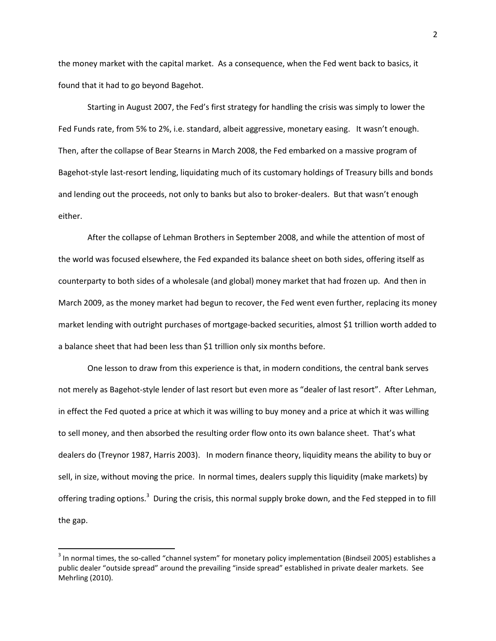the money market with the capital market. As a consequence, when the Fed went back to basics, it found that it had to go beyond Bagehot.

Starting in August 2007, the Fed's first strategy for handling the crisis was simply to lower the Fed Funds rate, from 5% to 2%, i.e. standard, albeit aggressive, monetary easing. It wasn't enough. Then, after the collapse of Bear Stearns in March 2008, the Fed embarked on a massive program of Bagehot-style last-resort lending, liquidating much of its customary holdings of Treasury bills and bonds and lending out the proceeds, not only to banks but also to broker-dealers. But that wasn't enough either.

After the collapse of Lehman Brothers in September 2008, and while the attention of most of the world was focused elsewhere, the Fed expanded its balance sheet on both sides, offering itself as counterparty to both sides of a wholesale (and global) money market that had frozen up. And then in March 2009, as the money market had begun to recover, the Fed went even further, replacing its money market lending with outright purchases of mortgage-backed securities, almost \$1 trillion worth added to a balance sheet that had been less than \$1 trillion only six months before.

One lesson to draw from this experience is that, in modern conditions, the central bank serves not merely as Bagehot-style lender of last resort but even more as "dealer of last resort". After Lehman, in effect the Fed quoted a price at which it was willing to buy money and a price at which it was willing to sell money, and then absorbed the resulting order flow onto its own balance sheet. That's what dealers do (Treynor 1987, Harris 2003). In modern finance theory, liquidity means the ability to buy or sell, in size, without moving the price. In normal times, dealers supply this liquidity (make markets) by offering trading options.<sup>3</sup> During the crisis, this normal supply broke down, and the Fed stepped in to fill the gap.

 $3$  In normal times, the so-called "channel system" for monetary policy implementation (Bindseil 2005) establishes a public dealer "outside spread" around the prevailing "inside spread" established in private dealer markets. See Mehrling (2010).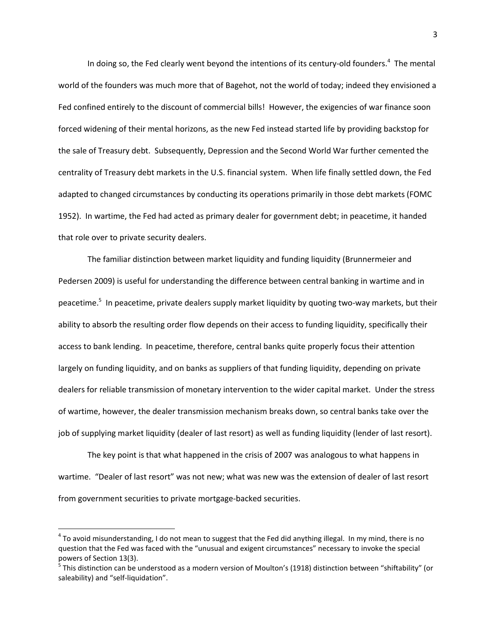In doing so, the Fed clearly went beyond the intentions of its century-old founders.<sup>4</sup> The mental world of the founders was much more that of Bagehot, not the world of today; indeed they envisioned a Fed confined entirely to the discount of commercial bills! However, the exigencies of war finance soon forced widening of their mental horizons, as the new Fed instead started life by providing backstop for the sale of Treasury debt. Subsequently, Depression and the Second World War further cemented the centrality of Treasury debt markets in the U.S. financial system. When life finally settled down, the Fed adapted to changed circumstances by conducting its operations primarily in those debt markets (FOMC 1952). In wartime, the Fed had acted as primary dealer for government debt; in peacetime, it handed that role over to private security dealers.

The familiar distinction between market liquidity and funding liquidity (Brunnermeier and Pedersen 2009) is useful for understanding the difference between central banking in wartime and in peacetime.<sup>5</sup> In peacetime, private dealers supply market liquidity by quoting two-way markets, but their ability to absorb the resulting order flow depends on their access to funding liquidity, specifically their access to bank lending. In peacetime, therefore, central banks quite properly focus their attention largely on funding liquidity, and on banks as suppliers of that funding liquidity, depending on private dealers for reliable transmission of monetary intervention to the wider capital market. Under the stress of wartime, however, the dealer transmission mechanism breaks down, so central banks take over the job of supplying market liquidity (dealer of last resort) as well as funding liquidity (lender of last resort).

The key point is that what happened in the crisis of 2007 was analogous to what happens in wartime. "Dealer of last resort" was not new; what was new was the extension of dealer of last resort from government securities to private mortgage-backed securities.

l

 $^4$  To avoid misunderstanding, I do not mean to suggest that the Fed did anything illegal. In my mind, there is no question that the Fed was faced with the "unusual and exigent circumstances" necessary to invoke the special powers of Section 13(3).

<sup>&</sup>lt;sup>5</sup> This distinction can be understood as a modern version of Moulton's (1918) distinction between "shiftability" (or saleability) and "self-liquidation".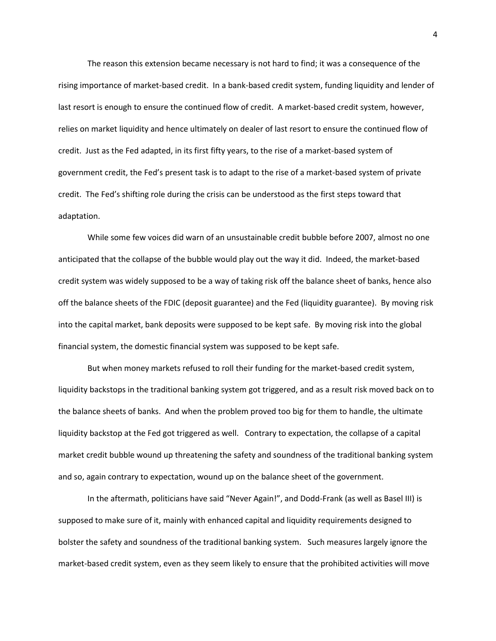The reason this extension became necessary is not hard to find; it was a consequence of the rising importance of market-based credit. In a bank-based credit system, funding liquidity and lender of last resort is enough to ensure the continued flow of credit. A market-based credit system, however, relies on market liquidity and hence ultimately on dealer of last resort to ensure the continued flow of credit. Just as the Fed adapted, in its first fifty years, to the rise of a market-based system of government credit, the Fed's present task is to adapt to the rise of a market-based system of private credit. The Fed's shifting role during the crisis can be understood as the first steps toward that adaptation.

While some few voices did warn of an unsustainable credit bubble before 2007, almost no one anticipated that the collapse of the bubble would play out the way it did. Indeed, the market-based credit system was widely supposed to be a way of taking risk off the balance sheet of banks, hence also off the balance sheets of the FDIC (deposit guarantee) and the Fed (liquidity guarantee). By moving risk into the capital market, bank deposits were supposed to be kept safe. By moving risk into the global financial system, the domestic financial system was supposed to be kept safe.

But when money markets refused to roll their funding for the market-based credit system, liquidity backstops in the traditional banking system got triggered, and as a result risk moved back on to the balance sheets of banks. And when the problem proved too big for them to handle, the ultimate liquidity backstop at the Fed got triggered as well. Contrary to expectation, the collapse of a capital market credit bubble wound up threatening the safety and soundness of the traditional banking system and so, again contrary to expectation, wound up on the balance sheet of the government.

In the aftermath, politicians have said "Never Again!", and Dodd-Frank (as well as Basel III) is supposed to make sure of it, mainly with enhanced capital and liquidity requirements designed to bolster the safety and soundness of the traditional banking system. Such measures largely ignore the market-based credit system, even as they seem likely to ensure that the prohibited activities will move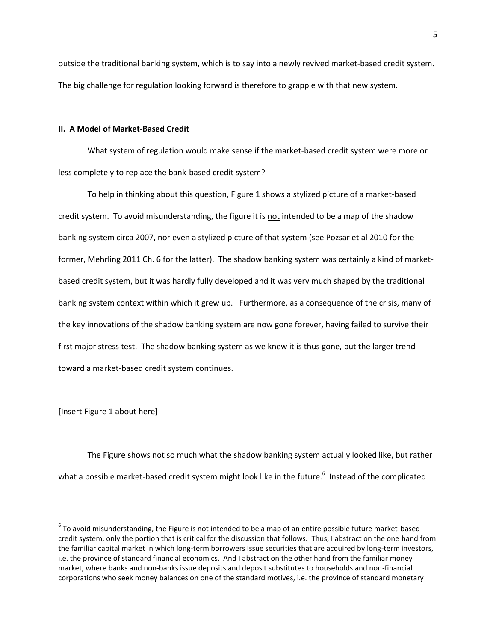outside the traditional banking system, which is to say into a newly revived market-based credit system. The big challenge for regulation looking forward is therefore to grapple with that new system.

## **II. A Model of Market-Based Credit**

What system of regulation would make sense if the market-based credit system were more or less completely to replace the bank-based credit system?

To help in thinking about this question, Figure 1 shows a stylized picture of a market-based credit system. To avoid misunderstanding, the figure it is not intended to be a map of the shadow banking system circa 2007, nor even a stylized picture of that system (see Pozsar et al 2010 for the former, Mehrling 2011 Ch. 6 for the latter). The shadow banking system was certainly a kind of marketbased credit system, but it was hardly fully developed and it was very much shaped by the traditional banking system context within which it grew up. Furthermore, as a consequence of the crisis, many of the key innovations of the shadow banking system are now gone forever, having failed to survive their first major stress test. The shadow banking system as we knew it is thus gone, but the larger trend toward a market-based credit system continues.

[Insert Figure 1 about here]

 $\overline{a}$ 

The Figure shows not so much what the shadow banking system actually looked like, but rather what a possible market-based credit system might look like in the future.<sup>6</sup> Instead of the complicated

 $^6$  To avoid misunderstanding, the Figure is not intended to be a map of an entire possible future market-based credit system, only the portion that is critical for the discussion that follows. Thus, I abstract on the one hand from the familiar capital market in which long-term borrowers issue securities that are acquired by long-term investors, i.e. the province of standard financial economics. And I abstract on the other hand from the familiar money market, where banks and non-banks issue deposits and deposit substitutes to households and non-financial corporations who seek money balances on one of the standard motives, i.e. the province of standard monetary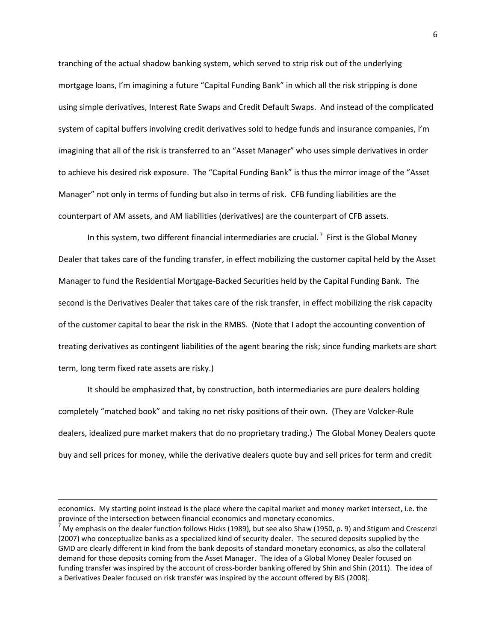tranching of the actual shadow banking system, which served to strip risk out of the underlying mortgage loans, I'm imagining a future "Capital Funding Bank" in which all the risk stripping is done using simple derivatives, Interest Rate Swaps and Credit Default Swaps. And instead of the complicated system of capital buffers involving credit derivatives sold to hedge funds and insurance companies, I'm imagining that all of the risk is transferred to an "Asset Manager" who uses simple derivatives in order to achieve his desired risk exposure. The "Capital Funding Bank" is thus the mirror image of the "Asset Manager" not only in terms of funding but also in terms of risk. CFB funding liabilities are the counterpart of AM assets, and AM liabilities (derivatives) are the counterpart of CFB assets.

In this system, two different financial intermediaries are crucial.<sup>7</sup> First is the Global Money Dealer that takes care of the funding transfer, in effect mobilizing the customer capital held by the Asset Manager to fund the Residential Mortgage-Backed Securities held by the Capital Funding Bank. The second is the Derivatives Dealer that takes care of the risk transfer, in effect mobilizing the risk capacity of the customer capital to bear the risk in the RMBS. (Note that I adopt the accounting convention of treating derivatives as contingent liabilities of the agent bearing the risk; since funding markets are short term, long term fixed rate assets are risky.)

It should be emphasized that, by construction, both intermediaries are pure dealers holding completely "matched book" and taking no net risky positions of their own. (They are Volcker-Rule dealers, idealized pure market makers that do no proprietary trading.) The Global Money Dealers quote buy and sell prices for money, while the derivative dealers quote buy and sell prices for term and credit

economics. My starting point instead is the place where the capital market and money market intersect, i.e. the province of the intersection between financial economics and monetary economics.

<sup>7</sup> My emphasis on the dealer function follows Hicks (1989), but see also Shaw (1950, p. 9) and Stigum and Crescenzi (2007) who conceptualize banks as a specialized kind of security dealer. The secured deposits supplied by the GMD are clearly different in kind from the bank deposits of standard monetary economics, as also the collateral demand for those deposits coming from the Asset Manager. The idea of a Global Money Dealer focused on funding transfer was inspired by the account of cross-border banking offered by Shin and Shin (2011). The idea of a Derivatives Dealer focused on risk transfer was inspired by the account offered by BIS (2008).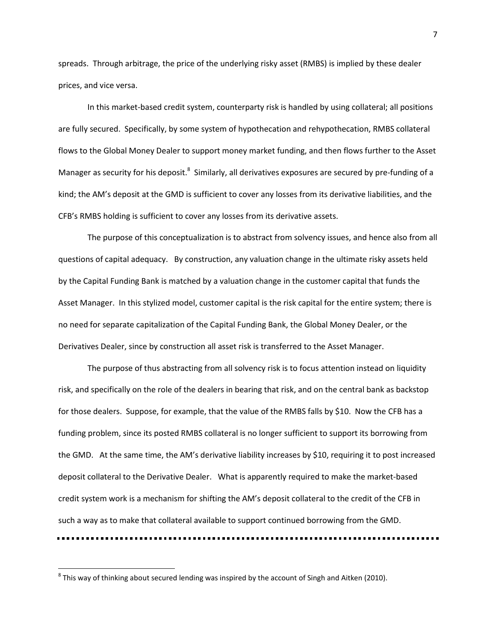spreads. Through arbitrage, the price of the underlying risky asset (RMBS) is implied by these dealer prices, and vice versa.

In this market-based credit system, counterparty risk is handled by using collateral; all positions are fully secured. Specifically, by some system of hypothecation and rehypothecation, RMBS collateral flows to the Global Money Dealer to support money market funding, and then flows further to the Asset Manager as security for his deposit.<sup>8</sup> Similarly, all derivatives exposures are secured by pre-funding of a kind; the AM's deposit at the GMD is sufficient to cover any losses from its derivative liabilities, and the CFB's RMBS holding is sufficient to cover any losses from its derivative assets.

The purpose of this conceptualization is to abstract from solvency issues, and hence also from all questions of capital adequacy. By construction, any valuation change in the ultimate risky assets held by the Capital Funding Bank is matched by a valuation change in the customer capital that funds the Asset Manager. In this stylized model, customer capital is the risk capital for the entire system; there is no need for separate capitalization of the Capital Funding Bank, the Global Money Dealer, or the Derivatives Dealer, since by construction all asset risk is transferred to the Asset Manager.

The purpose of thus abstracting from all solvency risk is to focus attention instead on liquidity risk, and specifically on the role of the dealers in bearing that risk, and on the central bank as backstop for those dealers. Suppose, for example, that the value of the RMBS falls by \$10. Now the CFB has a funding problem, since its posted RMBS collateral is no longer sufficient to support its borrowing from the GMD. At the same time, the AM's derivative liability increases by \$10, requiring it to post increased deposit collateral to the Derivative Dealer. What is apparently required to make the market-based credit system work is a mechanism for shifting the AM's deposit collateral to the credit of the CFB in such a way as to make that collateral available to support continued borrowing from the GMD.

 $^8$  This way of thinking about secured lending was inspired by the account of Singh and Aitken (2010).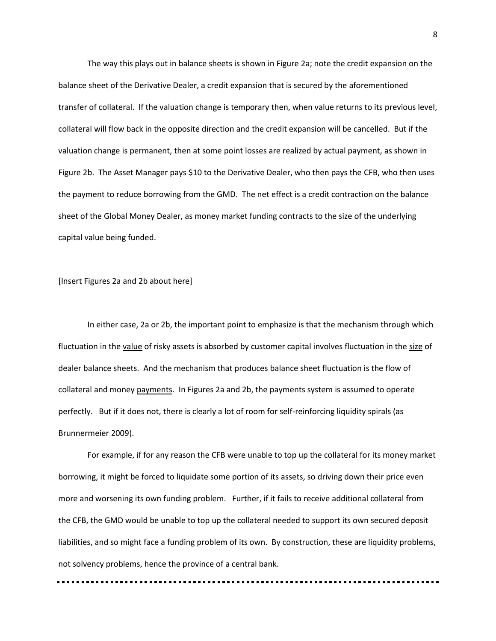The way this plays out in balance sheets is shown in Figure 2a; note the credit expansion on the balance sheet of the Derivative Dealer, a credit expansion that is secured by the aforementioned transfer of collateral. If the valuation change is temporary then, when value returns to its previous level, collateral will flow back in the opposite direction and the credit expansion will be cancelled. But if the valuation change is permanent, then at some point losses are realized by actual payment, as shown in Figure 2b. The Asset Manager pays \$10 to the Derivative Dealer, who then pays the CFB, who then uses the payment to reduce borrowing from the GMD. The net effect is a credit contraction on the balance sheet of the Global Money Dealer, as money market funding contracts to the size of the underlying capital value being funded.

[Insert Figures 2a and 2b about here]

In either case, 2a or 2b, the important point to emphasize is that the mechanism through which fluctuation in the value of risky assets is absorbed by customer capital involves fluctuation in the size of dealer balance sheets. And the mechanism that produces balance sheet fluctuation is the flow of collateral and money payments. In Figures 2a and 2b, the payments system is assumed to operate perfectly. But if it does not, there is clearly a lot of room for self-reinforcing liquidity spirals (as Brunnermeier 2009).

For example, if for any reason the CFB were unable to top up the collateral for its money market borrowing, it might be forced to liquidate some portion of its assets, so driving down their price even more and worsening its own funding problem. Further, if it fails to receive additional collateral from the CFB, the GMD would be unable to top up the collateral needed to support its own secured deposit liabilities, and so might face a funding problem of its own. By construction, these are liquidity problems, not solvency problems, hence the province of a central bank.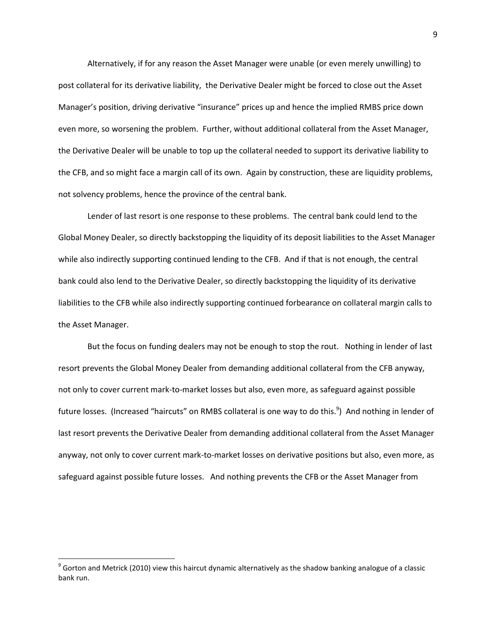Alternatively, if for any reason the Asset Manager were unable (or even merely unwilling) to post collateral for its derivative liability, the Derivative Dealer might be forced to close out the Asset Manager's position, driving derivative "insurance" prices up and hence the implied RMBS price down even more, so worsening the problem. Further, without additional collateral from the Asset Manager, the Derivative Dealer will be unable to top up the collateral needed to support its derivative liability to the CFB, and so might face a margin call of its own. Again by construction, these are liquidity problems, not solvency problems, hence the province of the central bank.

Lender of last resort is one response to these problems. The central bank could lend to the Global Money Dealer, so directly backstopping the liquidity of its deposit liabilities to the Asset Manager while also indirectly supporting continued lending to the CFB. And if that is not enough, the central bank could also lend to the Derivative Dealer, so directly backstopping the liquidity of its derivative liabilities to the CFB while also indirectly supporting continued forbearance on collateral margin calls to the Asset Manager.

But the focus on funding dealers may not be enough to stop the rout. Nothing in lender of last resort prevents the Global Money Dealer from demanding additional collateral from the CFB anyway, not only to cover current mark-to-market losses but also, even more, as safeguard against possible future losses. (Increased "haircuts" on RMBS collateral is one way to do this.<sup>9</sup>) And nothing in lender of last resort prevents the Derivative Dealer from demanding additional collateral from the Asset Manager anyway, not only to cover current mark-to-market losses on derivative positions but also, even more, as safeguard against possible future losses. And nothing prevents the CFB or the Asset Manager from

l

 $^9$  Gorton and Metrick (2010) view this haircut dynamic alternatively as the shadow banking analogue of a classic bank run.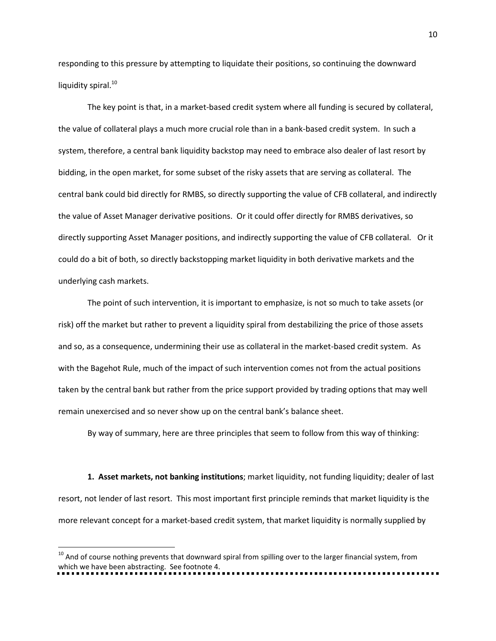responding to this pressure by attempting to liquidate their positions, so continuing the downward liquidity spiral.<sup>10</sup>

The key point is that, in a market-based credit system where all funding is secured by collateral, the value of collateral plays a much more crucial role than in a bank-based credit system. In such a system, therefore, a central bank liquidity backstop may need to embrace also dealer of last resort by bidding, in the open market, for some subset of the risky assets that are serving as collateral. The central bank could bid directly for RMBS, so directly supporting the value of CFB collateral, and indirectly the value of Asset Manager derivative positions. Or it could offer directly for RMBS derivatives, so directly supporting Asset Manager positions, and indirectly supporting the value of CFB collateral. Or it could do a bit of both, so directly backstopping market liquidity in both derivative markets and the underlying cash markets.

The point of such intervention, it is important to emphasize, is not so much to take assets (or risk) off the market but rather to prevent a liquidity spiral from destabilizing the price of those assets and so, as a consequence, undermining their use as collateral in the market-based credit system. As with the Bagehot Rule, much of the impact of such intervention comes not from the actual positions taken by the central bank but rather from the price support provided by trading options that may well remain unexercised and so never show up on the central bank's balance sheet.

By way of summary, here are three principles that seem to follow from this way of thinking:

**1. Asset markets, not banking institutions**; market liquidity, not funding liquidity; dealer of last resort, not lender of last resort. This most important first principle reminds that market liquidity is the more relevant concept for a market-based credit system, that market liquidity is normally supplied by

<sup>&</sup>lt;sup>10</sup> And of course nothing prevents that downward spiral from spilling over to the larger financial system, from which we have been abstracting. See footnote 4.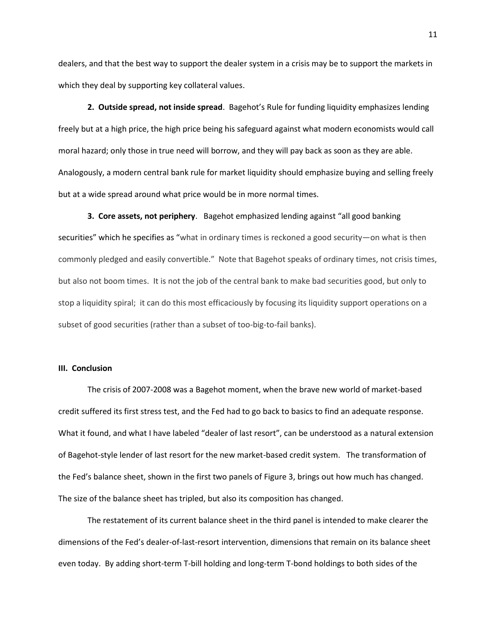dealers, and that the best way to support the dealer system in a crisis may be to support the markets in which they deal by supporting key collateral values.

**2. Outside spread, not inside spread**. Bagehot's Rule for funding liquidity emphasizes lending freely but at a high price, the high price being his safeguard against what modern economists would call moral hazard; only those in true need will borrow, and they will pay back as soon as they are able. Analogously, a modern central bank rule for market liquidity should emphasize buying and selling freely but at a wide spread around what price would be in more normal times.

**3. Core assets, not periphery**. Bagehot emphasized lending against "all good banking securities" which he specifies as "what in ordinary times is reckoned a good security—on what is then commonly pledged and easily convertible." Note that Bagehot speaks of ordinary times, not crisis times, but also not boom times. It is not the job of the central bank to make bad securities good, but only to stop a liquidity spiral; it can do this most efficaciously by focusing its liquidity support operations on a subset of good securities (rather than a subset of too-big-to-fail banks).

### **III. Conclusion**

The crisis of 2007-2008 was a Bagehot moment, when the brave new world of market-based credit suffered its first stress test, and the Fed had to go back to basics to find an adequate response. What it found, and what I have labeled "dealer of last resort", can be understood as a natural extension of Bagehot-style lender of last resort for the new market-based credit system. The transformation of the Fed's balance sheet, shown in the first two panels of Figure 3, brings out how much has changed. The size of the balance sheet has tripled, but also its composition has changed.

The restatement of its current balance sheet in the third panel is intended to make clearer the dimensions of the Fed's dealer-of-last-resort intervention, dimensions that remain on its balance sheet even today. By adding short-term T-bill holding and long-term T-bond holdings to both sides of the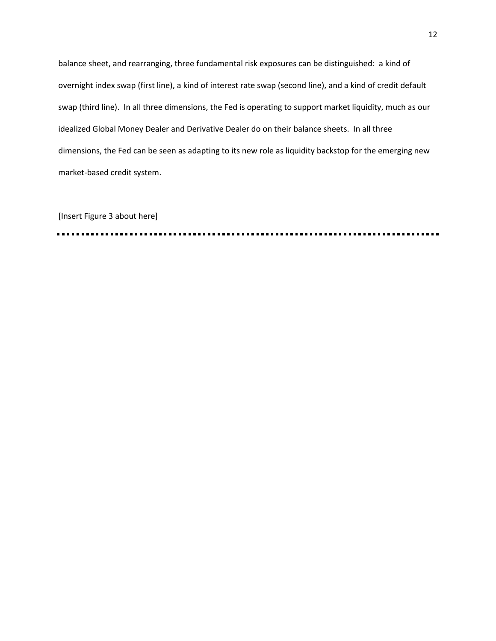balance sheet, and rearranging, three fundamental risk exposures can be distinguished: a kind of overnight index swap (first line), a kind of interest rate swap (second line), and a kind of credit default swap (third line). In all three dimensions, the Fed is operating to support market liquidity, much as our idealized Global Money Dealer and Derivative Dealer do on their balance sheets. In all three dimensions, the Fed can be seen as adapting to its new role as liquidity backstop for the emerging new market-based credit system.

[Insert Figure 3 about here]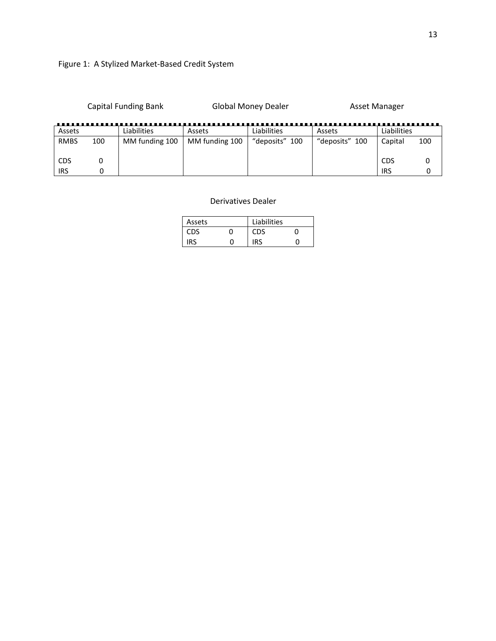Capital Funding Bank Global Money Dealer Asset Manager

| Assets      |     | Liabilities    | Assets         | Liabilities    | Assets         | Liabilities |     |
|-------------|-----|----------------|----------------|----------------|----------------|-------------|-----|
| <b>RMBS</b> | 100 | MM funding 100 | MM funding 100 | "deposits" 100 | "deposits" 100 | Capital     | 100 |
|             |     |                |                |                |                |             |     |
| CDS         |     |                |                |                |                | CDS         |     |
| IRS         |     |                |                |                |                | IRS         |     |

# Derivatives Dealer

| Assets     | Liabilities |  |
|------------|-------------|--|
| <b>CDS</b> |             |  |
| IDC        | <b>IRS</b>  |  |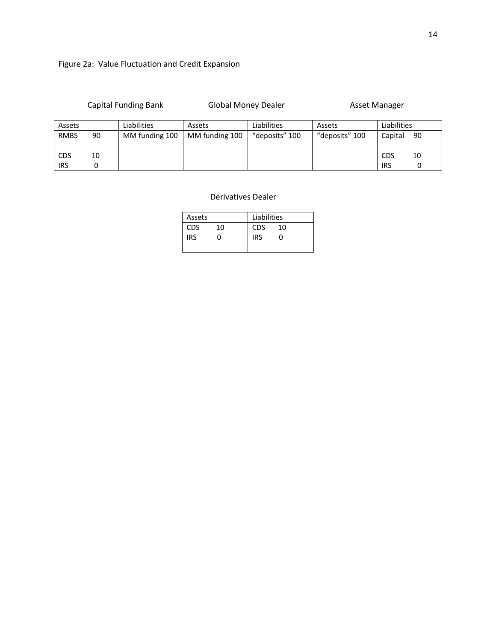|             | <b>Capital Funding Bank</b> |                | <b>Global Money Dealer</b> |                | Asset Manager  |             |          |
|-------------|-----------------------------|----------------|----------------------------|----------------|----------------|-------------|----------|
| Assets      |                             | Liabilities    | Assets                     | Liabilities    | Assets         | Liabilities |          |
| <b>RMBS</b> | 90                          | MM funding 100 | MM funding 100             | "deposits" 100 | "deposits" 100 | Capital     | 90       |
| <b>CDS</b>  | 10                          |                |                            |                |                | <b>CDS</b>  | 10       |
| <b>IRS</b>  | 0                           |                |                            |                |                | <b>IRS</b>  | $\Omega$ |

# Derivatives Dealer

| Assets |    | Liabilities |    |  |
|--------|----|-------------|----|--|
| CDS    | 10 | <b>CDS</b>  | 10 |  |
| IRS    |    | IRS         |    |  |
|        |    |             |    |  |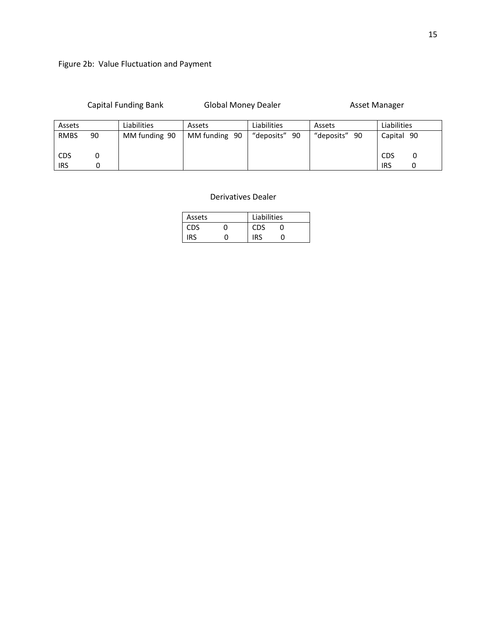| <b>Capital Funding Bank</b> |  |  |
|-----------------------------|--|--|
|-----------------------------|--|--|

Global Money Dealer **Asset Manager** Asset Manager

| Assets      |    | Liabilities   | Assets        | Liabilities   | Assets        | Liabilities     |
|-------------|----|---------------|---------------|---------------|---------------|-----------------|
| <b>RMBS</b> | 90 | MM funding 90 | MM funding 90 | "deposits" 90 | "deposits" 90 | Capital 90      |
| <b>CDS</b>  |    |               |               |               |               | <b>CDS</b><br>υ |
| <b>IRS</b>  |    |               |               |               |               | <b>IRS</b>      |

# Derivatives Dealer

| Assets     | Liabilities |  |  |  |
|------------|-------------|--|--|--|
| <b>CDS</b> |             |  |  |  |
|            |             |  |  |  |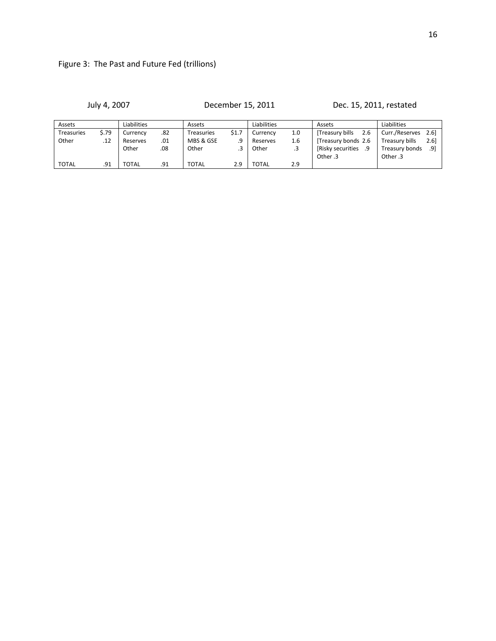July 4, 2007 December 15, 2011 Dec. 15, 2011, restated

| Assets            |       | Liabilities |     | Assets       |       | Liabilities |     | Assets                  | Liabilities                        |
|-------------------|-------|-------------|-----|--------------|-------|-------------|-----|-------------------------|------------------------------------|
| <b>Treasuries</b> | \$.79 | Currencv    | .82 | Treasuries   | \$1.7 | Currencv    | 1.0 | [Treasury bills<br>2.6  | Curr./Reserves<br>2.6 <sub>1</sub> |
| Other             | .12   | Reserves    | .01 | MBS & GSE    | .9    | Reserves    | 1.6 | Treasury bonds 2.6      | Treasury bills<br>2.6              |
|                   |       | Other       | .08 | Other        |       | Other       |     | [Risky securities<br>9. | Treasury bonds<br>.91              |
|                   |       |             |     |              |       |             |     | Other .3                | Other .3                           |
| <b>TOTAL</b>      | .91   | TOTAL       | .91 | <b>TOTAL</b> | 2.9   | TOTAL       | 2.9 |                         |                                    |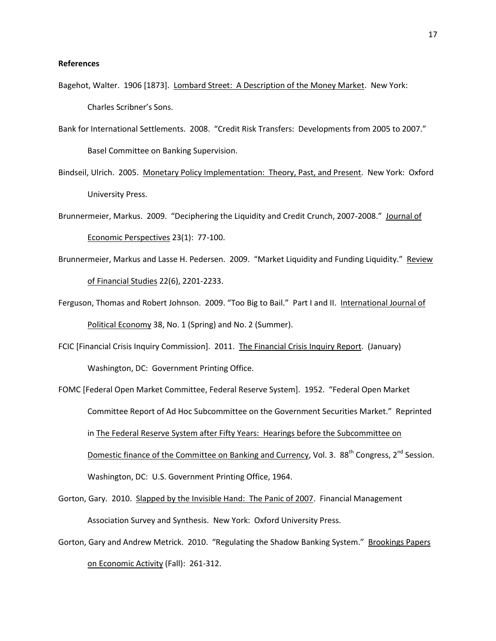### **References**

- Bagehot, Walter. 1906 [1873]. Lombard Street: A Description of the Money Market. New York: Charles Scribner's Sons.
- Bank for International Settlements. 2008. "Credit Risk Transfers: Developments from 2005 to 2007." Basel Committee on Banking Supervision.
- Bindseil, Ulrich. 2005. Monetary Policy Implementation: Theory, Past, and Present. New York: Oxford University Press.
- Brunnermeier, Markus. 2009. "Deciphering the Liquidity and Credit Crunch, 2007-2008." Journal of Economic Perspectives 23(1): 77-100.
- Brunnermeier, Markus and Lasse H. Pedersen. 2009. "Market Liquidity and Funding Liquidity." Review of Financial Studies 22(6), 2201-2233.
- Ferguson, Thomas and Robert Johnson. 2009. "Too Big to Bail." Part I and II. International Journal of Political Economy 38, No. 1 (Spring) and No. 2 (Summer).
- FCIC [Financial Crisis Inquiry Commission]. 2011. The Financial Crisis Inquiry Report. (January) Washington, DC: Government Printing Office.
- FOMC [Federal Open Market Committee, Federal Reserve System]. 1952. "Federal Open Market Committee Report of Ad Hoc Subcommittee on the Government Securities Market." Reprinted in The Federal Reserve System after Fifty Years: Hearings before the Subcommittee on Domestic finance of the Committee on Banking and Currency, Vol. 3. 88<sup>th</sup> Congress, 2<sup>nd</sup> Session. Washington, DC: U.S. Government Printing Office, 1964.
- Gorton, Gary. 2010. Slapped by the Invisible Hand: The Panic of 2007. Financial Management Association Survey and Synthesis. New York: Oxford University Press.
- Gorton, Gary and Andrew Metrick. 2010. "Regulating the Shadow Banking System." Brookings Papers on Economic Activity (Fall): 261-312.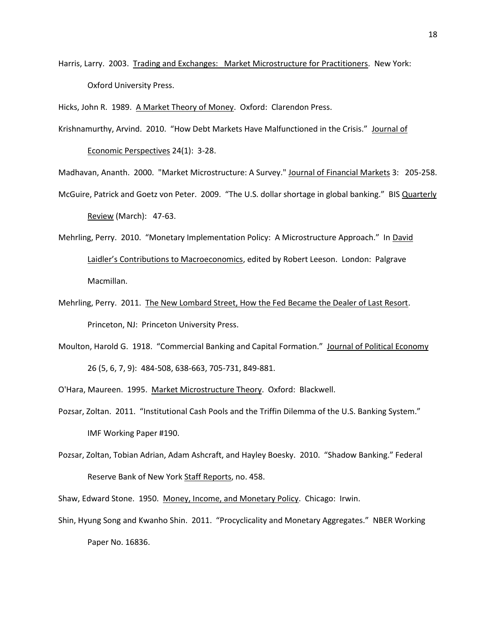Harris, Larry. 2003. Trading and Exchanges: Market Microstructure for Practitioners. New York: Oxford University Press.

Krishnamurthy, Arvind. 2010. "How Debt Markets Have Malfunctioned in the Crisis." Journal of

Economic Perspectives 24(1): 3-28.

- Madhavan, Ananth. 2000. "Market Microstructure: A Survey." Journal of Financial Markets 3: 205-258.
- McGuire, Patrick and Goetz von Peter. 2009. "The U.S. dollar shortage in global banking." BIS Quarterly Review (March): 47-63.
- Mehrling, Perry. 2010. "Monetary Implementation Policy: A Microstructure Approach." In David Laidler's Contributions to Macroeconomics, edited by Robert Leeson. London: Palgrave Macmillan.
- Mehrling, Perry. 2011. The New Lombard Street, How the Fed Became the Dealer of Last Resort. Princeton, NJ: Princeton University Press.
- Moulton, Harold G. 1918. "Commercial Banking and Capital Formation." Journal of Political Economy 26 (5, 6, 7, 9): 484-508, 638-663, 705-731, 849-881.
- O'Hara, Maureen. 1995. Market Microstructure Theory. Oxford: Blackwell.
- Pozsar, Zoltan. 2011. "Institutional Cash Pools and the Triffin Dilemma of the U.S. Banking System." IMF Working Paper #190.
- Pozsar, Zoltan, Tobian Adrian, Adam Ashcraft, and Hayley Boesky. 2010. "Shadow Banking." Federal Reserve Bank of New York Staff Reports, no. 458.

Shaw, Edward Stone. 1950. Money, Income, and Monetary Policy. Chicago: Irwin.

Shin, Hyung Song and Kwanho Shin. 2011. "Procyclicality and Monetary Aggregates." NBER Working Paper No. 16836.

Hicks, John R. 1989. A Market Theory of Money. Oxford: Clarendon Press.